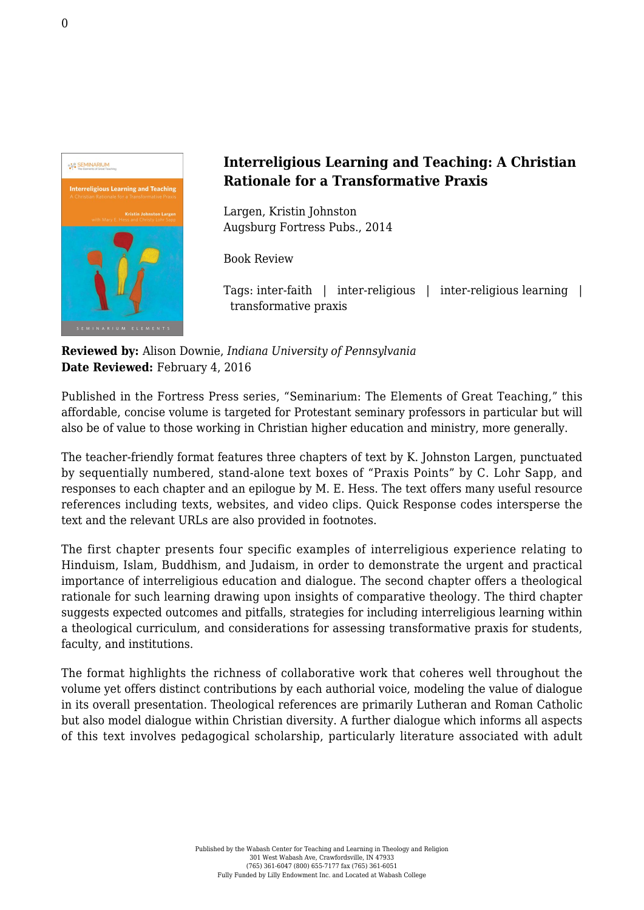

## **Interreligious Learning and Teaching: A Christian Rationale for a Transformative Praxis**

Largen, Kristin Johnston [Augsburg Fortress Pubs., 2014](http://store.augsburgfortress.org/store/productgroup/786/Interreligious-Learning-and-Teaching-A-Christian-Rationale-for-a-Transformative-Praxis)

Book Review

Tags: inter-faith | inter-religious | inter-religious learning | transformative praxis

**Reviewed by:** Alison Downie, *Indiana University of Pennsylvania* **Date Reviewed:** February 4, 2016

Published in the Fortress Press series, "Seminarium: The Elements of Great Teaching," this affordable, concise volume is targeted for Protestant seminary professors in particular but will also be of value to those working in Christian higher education and ministry, more generally.

The teacher-friendly format features three chapters of text by K. Johnston Largen, punctuated by sequentially numbered, stand-alone text boxes of "Praxis Points" by C. Lohr Sapp, and responses to each chapter and an epilogue by M. E. Hess. The text offers many useful resource references including texts, websites, and video clips. Quick Response codes intersperse the text and the relevant URLs are also provided in footnotes.

The first chapter presents four specific examples of interreligious experience relating to Hinduism, Islam, Buddhism, and Judaism, in order to demonstrate the urgent and practical importance of interreligious education and dialogue. The second chapter offers a theological rationale for such learning drawing upon insights of comparative theology. The third chapter suggests expected outcomes and pitfalls, strategies for including interreligious learning within a theological curriculum, and considerations for assessing transformative praxis for students, faculty, and institutions.

The format highlights the richness of collaborative work that coheres well throughout the volume yet offers distinct contributions by each authorial voice, modeling the value of dialogue in its overall presentation. Theological references are primarily Lutheran and Roman Catholic but also model dialogue within Christian diversity. A further dialogue which informs all aspects of this text involves pedagogical scholarship, particularly literature associated with adult